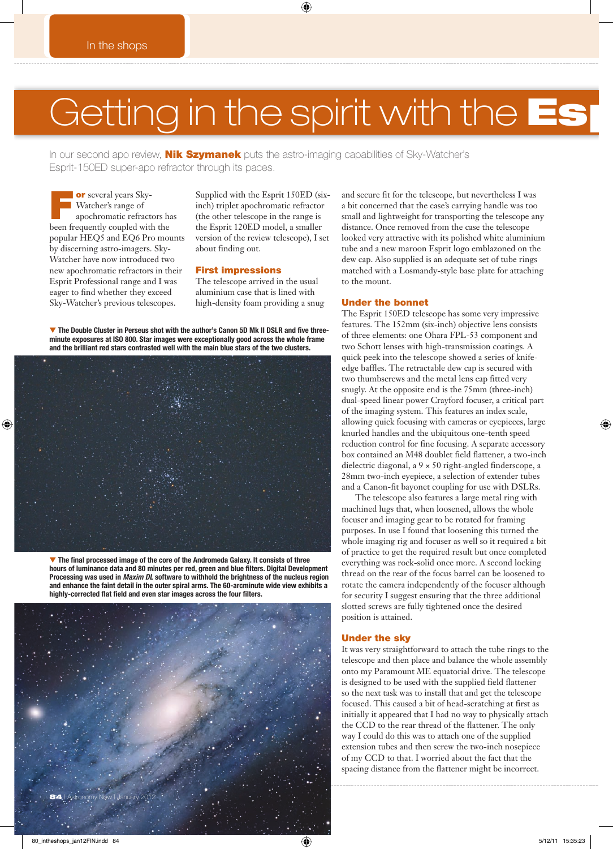## Getting in the spirit with the Esp

◈

In our second apo review, **Nik Szymanek** puts the astro-imaging capabilities of Sky-Watcher's Esprit-150ED super-apo refractor through its paces.

**or** several years Sky-<br>Watcher's range of<br>apochromatic refractors has Watcher's range of been frequently coupled with the popular HEQ5 and EQ6 Pro mounts by discerning astro-imagers. Sky-Watcher have now introduced two new apochromatic refractors in their Esprit Professional range and I was eager to find whether they exceed Sky-Watcher's previous telescopes.

Supplied with the Esprit 150ED (sixinch) triplet apochromatic refractor (the other telescope in the range is the Esprit 120ED model, a smaller version of the review telescope), I set about finding out.

#### First impressions

The telescope arrived in the usual aluminium case that is lined with high-density foam providing a snug

▼ The Double Cluster in Perseus shot with the author's Canon 5D Mk II DSLR and five three**minute exposures at ISO 800. Star images were exceptionally good across the whole frame and the brilliant red stars contrasted well with the main blue stars of the two clusters.**



▼ The final processed image of the core of the Andromeda Galaxy. It consists of three hours of luminance data and 80 minutes per red, green and blue filters. Digital Development **Processing was used in** *Maxim DL* **software to withhold the brightness of the nucleus region and enhance the faint detail in the outer spiral arms. The 60-arcminute wide view exhibits a**  highly-corrected flat field and even star images across the four filters.



and secure fit for the telescope, but nevertheless I was a bit concerned that the case's carrying handle was too small and lightweight for transporting the telescope any distance. Once removed from the case the telescope looked very attractive with its polished white aluminium tube and a new maroon Esprit logo emblazoned on the dew cap. Also supplied is an adequate set of tube rings matched with a Losmandy-style base plate for attaching to the mount.

#### Under the bonnet

The Esprit 150ED telescope has some very impressive features. The 152mm (six-inch) objective lens consists of three elements: one Ohara FPL-53 component and two Schott lenses with high-transmission coatings. A quick peek into the telescope showed a series of knifeedge baffles. The retractable dew cap is secured with two thumbscrews and the metal lens cap fitted very snugly. At the opposite end is the 75mm (three-inch) dual-speed linear power Crayford focuser, a critical part of the imaging system. This features an index scale, allowing quick focusing with cameras or eyepieces, large knurled handles and the ubiquitous one-tenth speed reduction control for fine focusing. A separate accessory box contained an M48 doublet field flattener, a two-inch dielectric diagonal, a 9 × 50 right-angled finderscope, a 28mm two-inch eyepiece, a selection of extender tubes and a Canon-fit bayonet coupling for use with DSLRs.

The telescope also features a large metal ring with machined lugs that, when loosened, allows the whole focuser and imaging gear to be rotated for framing purposes. In use I found that loosening this turned the whole imaging rig and focuser as well so it required a bit of practice to get the required result but once completed everything was rock-solid once more. A second locking thread on the rear of the focus barrel can be loosened to rotate the camera independently of the focuser although for security I suggest ensuring that the three additional slotted screws are fully tightened once the desired position is attained.

#### Under the sky

It was very straightforward to attach the tube rings to the telescope and then place and balance the whole assembly onto my Paramount ME equatorial drive. The telescope is designed to be used with the supplied field flattener so the next task was to install that and get the telescope focused. This caused a bit of head-scratching at first as initially it appeared that I had no way to physically attach the CCD to the rear thread of the flattener. The only way I could do this was to attach one of the supplied extension tubes and then screw the two-inch nosepiece of my CCD to that. I worried about the fact that the spacing distance from the flattener might be incorrect.

80\_intheshops\_jan12FIN.indd 84 5/12/11 15:35:23